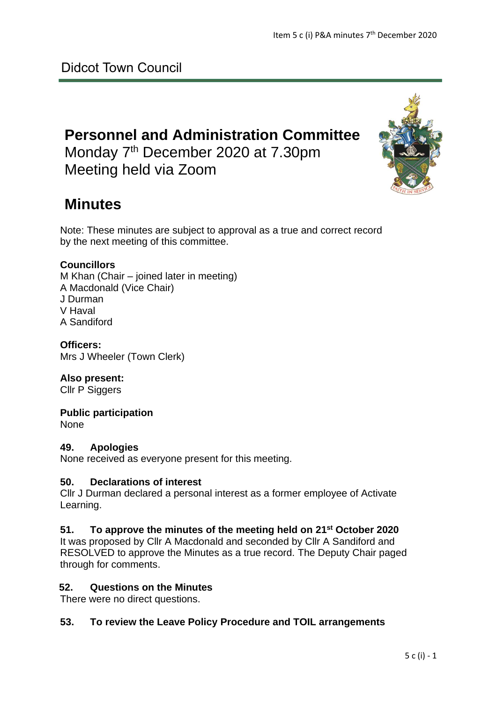# **Personnel and Administration Committee**

Monday 7<sup>th</sup> December 2020 at 7.30pm Meeting held via Zoom



# **Minutes**

Note: These minutes are subject to approval as a true and correct record by the next meeting of this committee.

# **Councillors**

M Khan (Chair – joined later in meeting) A Macdonald (Vice Chair) J Durman V Haval A Sandiford

**Officers:** Mrs J Wheeler (Town Clerk)

# **Also present:**

Cllr P Siggers

# **Public participation**

None

# **49. Apologies**

None received as everyone present for this meeting.

# **50. Declarations of interest**

Cllr J Durman declared a personal interest as a former employee of Activate Learning.

# **51. To approve the minutes of the meeting held on 21st October 2020**

It was proposed by Cllr A Macdonald and seconded by Cllr A Sandiford and RESOLVED to approve the Minutes as a true record. The Deputy Chair paged through for comments.

# **52. Questions on the Minutes**

There were no direct questions.

# **53. To review the Leave Policy Procedure and TOIL arrangements**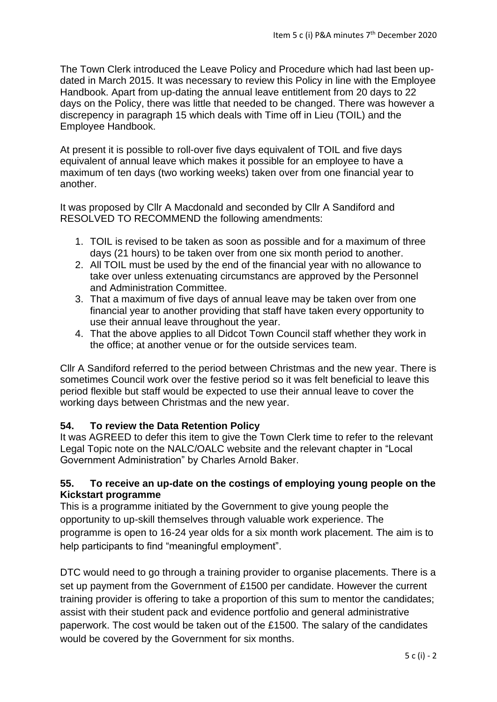The Town Clerk introduced the Leave Policy and Procedure which had last been updated in March 2015. It was necessary to review this Policy in line with the Employee Handbook. Apart from up-dating the annual leave entitlement from 20 days to 22 days on the Policy, there was little that needed to be changed. There was however a discrepency in paragraph 15 which deals with Time off in Lieu (TOIL) and the Employee Handbook.

At present it is possible to roll-over five days equivalent of TOIL and five days equivalent of annual leave which makes it possible for an employee to have a maximum of ten days (two working weeks) taken over from one financial year to another.

It was proposed by Cllr A Macdonald and seconded by Cllr A Sandiford and RESOLVED TO RECOMMEND the following amendments:

- 1. TOIL is revised to be taken as soon as possible and for a maximum of three days (21 hours) to be taken over from one six month period to another.
- 2. All TOIL must be used by the end of the financial year with no allowance to take over unless extenuating circumstancs are approved by the Personnel and Administration Committee.
- 3. That a maximum of five days of annual leave may be taken over from one financial year to another providing that staff have taken every opportunity to use their annual leave throughout the year.
- 4. That the above applies to all Didcot Town Council staff whether they work in the office; at another venue or for the outside services team.

Cllr A Sandiford referred to the period between Christmas and the new year. There is sometimes Council work over the festive period so it was felt beneficial to leave this period flexible but staff would be expected to use their annual leave to cover the working days between Christmas and the new year.

# **54. To review the Data Retention Policy**

It was AGREED to defer this item to give the Town Clerk time to refer to the relevant Legal Topic note on the NALC/OALC website and the relevant chapter in "Local Government Administration" by Charles Arnold Baker.

# **55. To receive an up-date on the costings of employing young people on the Kickstart programme**

This is a programme initiated by the Government to give young people the opportunity to up-skill themselves through valuable work experience. The programme is open to 16-24 year olds for a six month work placement. The aim is to help participants to find "meaningful employment".

DTC would need to go through a training provider to organise placements. There is a set up payment from the Government of £1500 per candidate. However the current training provider is offering to take a proportion of this sum to mentor the candidates; assist with their student pack and evidence portfolio and general administrative paperwork. The cost would be taken out of the £1500. The salary of the candidates would be covered by the Government for six months.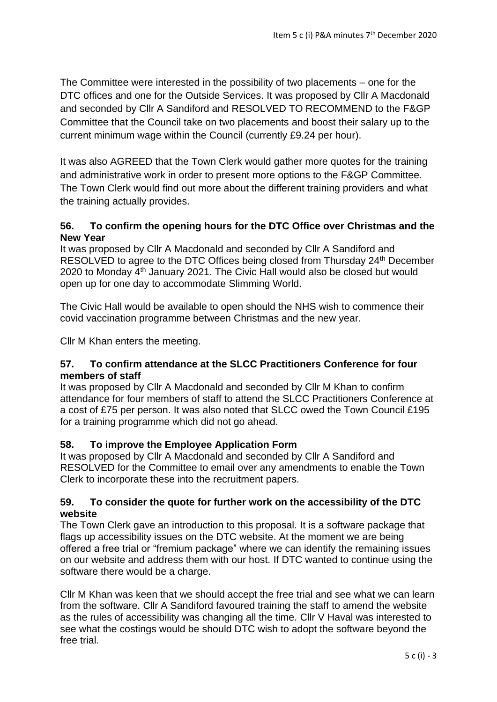The Committee were interested in the possibility of two placements – one for the DTC offices and one for the Outside Services. It was proposed by Cllr A Macdonald and seconded by Cllr A Sandiford and RESOLVED TO RECOMMEND to the F&GP Committee that the Council take on two placements and boost their salary up to the current minimum wage within the Council (currently £9.24 per hour).

It was also AGREED that the Town Clerk would gather more quotes for the training and administrative work in order to present more options to the F&GP Committee. The Town Clerk would find out more about the different training providers and what the training actually provides.

# **56. To confirm the opening hours for the DTC Office over Christmas and the New Year**

It was proposed by Cllr A Macdonald and seconded by Cllr A Sandiford and RESOLVED to agree to the DTC Offices being closed from Thursday 24th December 2020 to Monday 4th January 2021. The Civic Hall would also be closed but would open up for one day to accommodate Slimming World.

The Civic Hall would be available to open should the NHS wish to commence their covid vaccination programme between Christmas and the new year.

Cllr M Khan enters the meeting.

# **57. To confirm attendance at the SLCC Practitioners Conference for four members of staff**

It was proposed by Cllr A Macdonald and seconded by Cllr M Khan to confirm attendance for four members of staff to attend the SLCC Practitioners Conference at a cost of £75 per person. It was also noted that SLCC owed the Town Council £195 for a training programme which did not go ahead.

# **58. To improve the Employee Application Form**

It was proposed by Cllr A Macdonald and seconded by Cllr A Sandiford and RESOLVED for the Committee to email over any amendments to enable the Town Clerk to incorporate these into the recruitment papers.

# **59. To consider the quote for further work on the accessibility of the DTC website**

The Town Clerk gave an introduction to this proposal. It is a software package that flags up accessibility issues on the DTC website. At the moment we are being offered a free trial or "fremium package" where we can identify the remaining issues on our website and address them with our host. If DTC wanted to continue using the software there would be a charge.

Cllr M Khan was keen that we should accept the free trial and see what we can learn from the software. Cllr A Sandiford favoured training the staff to amend the website as the rules of accessibility was changing all the time. Cllr V Haval was interested to see what the costings would be should DTC wish to adopt the software beyond the free trial.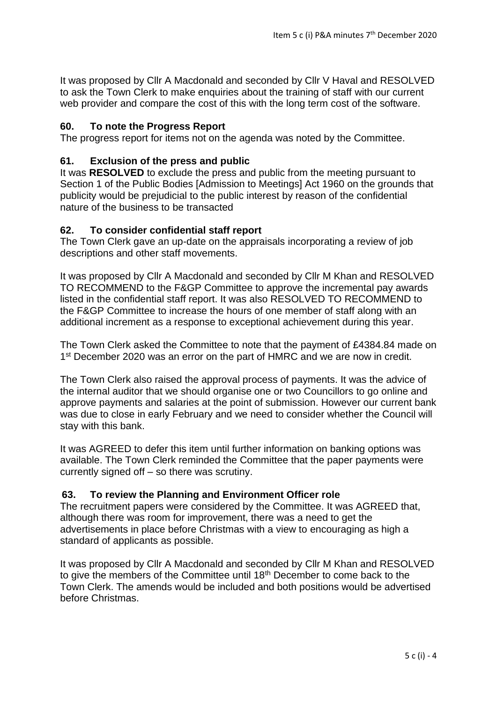It was proposed by Cllr A Macdonald and seconded by Cllr V Haval and RESOLVED to ask the Town Clerk to make enquiries about the training of staff with our current web provider and compare the cost of this with the long term cost of the software.

#### **60. To note the Progress Report**

The progress report for items not on the agenda was noted by the Committee.

# **61. Exclusion of the press and public**

It was **RESOLVED** to exclude the press and public from the meeting pursuant to Section 1 of the Public Bodies [Admission to Meetings] Act 1960 on the grounds that publicity would be prejudicial to the public interest by reason of the confidential nature of the business to be transacted

#### **62. To consider confidential staff report**

The Town Clerk gave an up-date on the appraisals incorporating a review of job descriptions and other staff movements.

It was proposed by Cllr A Macdonald and seconded by Cllr M Khan and RESOLVED TO RECOMMEND to the F&GP Committee to approve the incremental pay awards listed in the confidential staff report. It was also RESOLVED TO RECOMMEND to the F&GP Committee to increase the hours of one member of staff along with an additional increment as a response to exceptional achievement during this year.

The Town Clerk asked the Committee to note that the payment of £4384.84 made on 1<sup>st</sup> December 2020 was an error on the part of HMRC and we are now in credit.

The Town Clerk also raised the approval process of payments. It was the advice of the internal auditor that we should organise one or two Councillors to go online and approve payments and salaries at the point of submission. However our current bank was due to close in early February and we need to consider whether the Council will stay with this bank.

It was AGREED to defer this item until further information on banking options was available. The Town Clerk reminded the Committee that the paper payments were currently signed off – so there was scrutiny.

# **63. To review the Planning and Environment Officer role**

The recruitment papers were considered by the Committee. It was AGREED that, although there was room for improvement, there was a need to get the advertisements in place before Christmas with a view to encouraging as high a standard of applicants as possible.

It was proposed by Cllr A Macdonald and seconded by Cllr M Khan and RESOLVED to give the members of the Committee until 18<sup>th</sup> December to come back to the Town Clerk. The amends would be included and both positions would be advertised before Christmas.